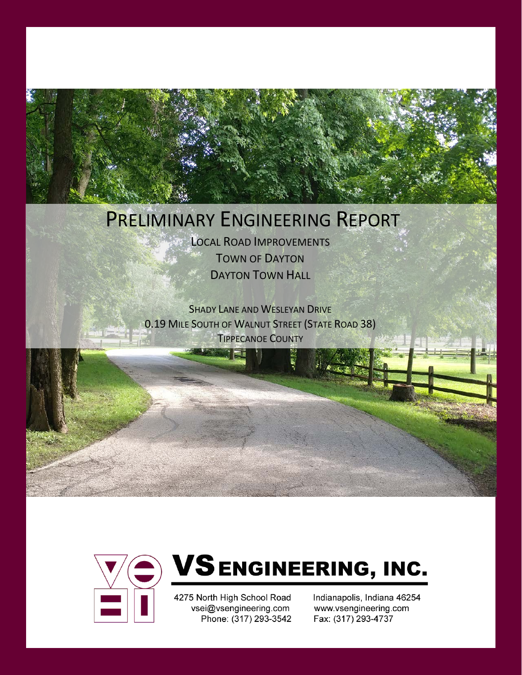## PRELIMINARY ENGINEERING REPORT

LOCAL ROAD IMPROVEMENTS TOWN OF DAYTON DAYTON TOWN HALL

SHADY LANE AND WESLEYAN DRIVE 0.19 MILE SOUTH OF WALNUT STREET (STATE ROAD 38) TIPPECANOE COUNTY



# **VSENGINEERING, INC.**

4275 North High School Road vsei@vsengineering.com Phone: (317) 293-3542 Indianapolis, Indiana 46254 www.vsengineering.com Fax: (317) 293-4737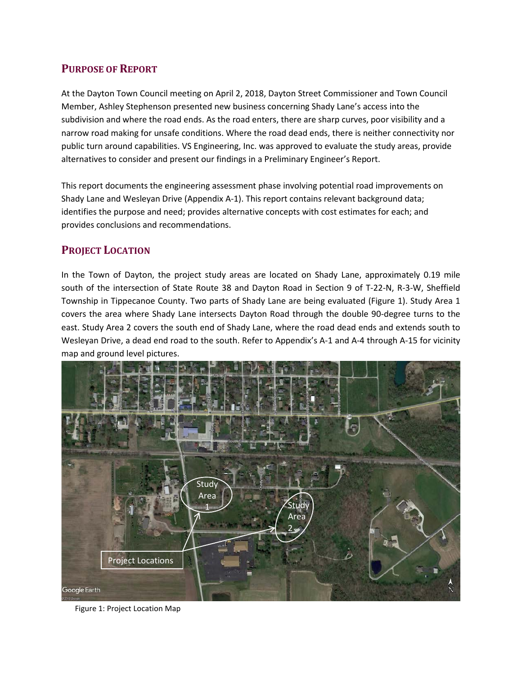## **PURPOSE OF REPORT**

At the Dayton Town Council meeting on April 2, 2018, Dayton Street Commissioner and Town Council Member, Ashley Stephenson presented new business concerning Shady Lane's access into the subdivision and where the road ends. As the road enters, there are sharp curves, poor visibility and a narrow road making for unsafe conditions. Where the road dead ends, there is neither connectivity nor public turn around capabilities. VS Engineering, Inc. was approved to evaluate the study areas, provide alternatives to consider and present our findings in a Preliminary Engineer's Report.

This report documents the engineering assessment phase involving potential road improvements on Shady Lane and Wesleyan Drive (Appendix A-1). This report contains relevant background data; identifies the purpose and need; provides alternative concepts with cost estimates for each; and provides conclusions and recommendations.

## **PROJECT LOCATION**

In the Town of Dayton, the project study areas are located on Shady Lane, approximately 0.19 mile south of the intersection of State Route 38 and Dayton Road in Section 9 of T-22-N, R-3-W, Sheffield Township in Tippecanoe County. Two parts of Shady Lane are being evaluated (Figure 1). Study Area 1 covers the area where Shady Lane intersects Dayton Road through the double 90-degree turns to the east. Study Area 2 covers the south end of Shady Lane, where the road dead ends and extends south to Wesleyan Drive, a dead end road to the south. Refer to Appendix's A-1 and A-4 through A-15 for vicinity map and ground level pictures.



Figure 1: Project Location Map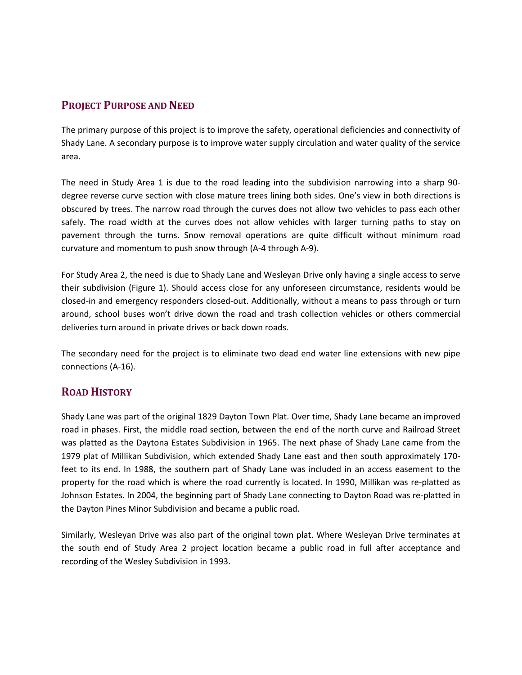## **PROJECT PURPOSE AND NEED**

The primary purpose of this project is to improve the safety, operational deficiencies and connectivity of Shady Lane. A secondary purpose is to improve water supply circulation and water quality of the service area.

The need in Study Area 1 is due to the road leading into the subdivision narrowing into a sharp 90 degree reverse curve section with close mature trees lining both sides. One's view in both directions is obscured by trees. The narrow road through the curves does not allow two vehicles to pass each other safely. The road width at the curves does not allow vehicles with larger turning paths to stay on pavement through the turns. Snow removal operations are quite difficult without minimum road curvature and momentum to push snow through (A-4 through A-9).

For Study Area 2, the need is due to Shady Lane and Wesleyan Drive only having a single access to serve their subdivision (Figure 1). Should access close for any unforeseen circumstance, residents would be closed-in and emergency responders closed-out. Additionally, without a means to pass through or turn around, school buses won't drive down the road and trash collection vehicles or others commercial deliveries turn around in private drives or back down roads.

The secondary need for the project is to eliminate two dead end water line extensions with new pipe connections (A-16).

## **ROAD HISTORY**

Shady Lane was part of the original 1829 Dayton Town Plat. Over time, Shady Lane became an improved road in phases. First, the middle road section, between the end of the north curve and Railroad Street was platted as the Daytona Estates Subdivision in 1965. The next phase of Shady Lane came from the 1979 plat of Millikan Subdivision, which extended Shady Lane east and then south approximately 170 feet to its end. In 1988, the southern part of Shady Lane was included in an access easement to the property for the road which is where the road currently is located. In 1990, Millikan was re-platted as Johnson Estates. In 2004, the beginning part of Shady Lane connecting to Dayton Road was re-platted in the Dayton Pines Minor Subdivision and became a public road.

Similarly, Wesleyan Drive was also part of the original town plat. Where Wesleyan Drive terminates at the south end of Study Area 2 project location became a public road in full after acceptance and recording of the Wesley Subdivision in 1993.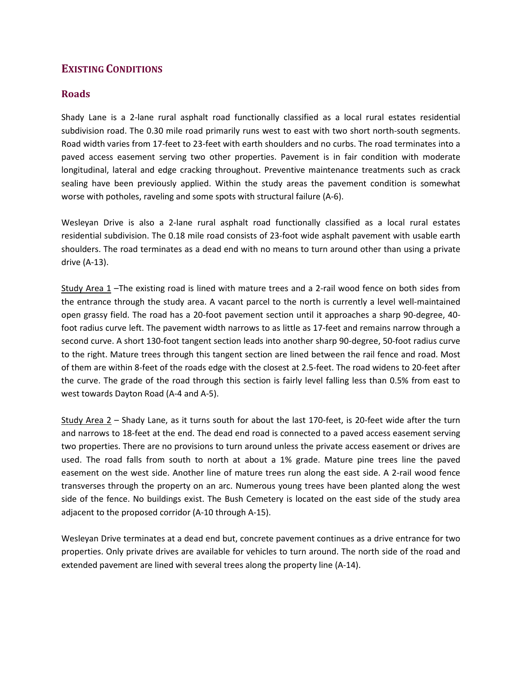## **EXISTING CONDITIONS**

#### **Roads**

Shady Lane is a 2-lane rural asphalt road functionally classified as a local rural estates residential subdivision road. The 0.30 mile road primarily runs west to east with two short north-south segments. Road width varies from 17-feet to 23-feet with earth shoulders and no curbs. The road terminates into a paved access easement serving two other properties. Pavement is in fair condition with moderate longitudinal, lateral and edge cracking throughout. Preventive maintenance treatments such as crack sealing have been previously applied. Within the study areas the pavement condition is somewhat worse with potholes, raveling and some spots with structural failure (A-6).

Wesleyan Drive is also a 2-lane rural asphalt road functionally classified as a local rural estates residential subdivision. The 0.18 mile road consists of 23-foot wide asphalt pavement with usable earth shoulders. The road terminates as a dead end with no means to turn around other than using a private drive (A-13).

Study Area 1 - The existing road is lined with mature trees and a 2-rail wood fence on both sides from the entrance through the study area. A vacant parcel to the north is currently a level well-maintained open grassy field. The road has a 20-foot pavement section until it approaches a sharp 90-degree, 40 foot radius curve left. The pavement width narrows to as little as 17-feet and remains narrow through a second curve. A short 130-foot tangent section leads into another sharp 90-degree, 50-foot radius curve to the right. Mature trees through this tangent section are lined between the rail fence and road. Most of them are within 8-feet of the roads edge with the closest at 2.5-feet. The road widens to 20-feet after the curve. The grade of the road through this section is fairly level falling less than 0.5% from east to west towards Dayton Road (A-4 and A-5).

Study Area 2 – Shady Lane, as it turns south for about the last 170-feet, is 20-feet wide after the turn and narrows to 18-feet at the end. The dead end road is connected to a paved access easement serving two properties. There are no provisions to turn around unless the private access easement or drives are used. The road falls from south to north at about a 1% grade. Mature pine trees line the paved easement on the west side. Another line of mature trees run along the east side. A 2-rail wood fence transverses through the property on an arc. Numerous young trees have been planted along the west side of the fence. No buildings exist. The Bush Cemetery is located on the east side of the study area adjacent to the proposed corridor (A-10 through A-15).

Wesleyan Drive terminates at a dead end but, concrete pavement continues as a drive entrance for two properties. Only private drives are available for vehicles to turn around. The north side of the road and extended pavement are lined with several trees along the property line (A-14).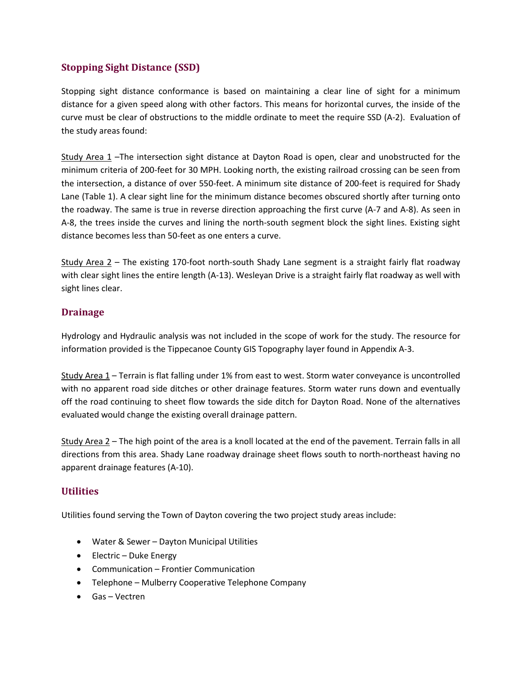## **Stopping Sight Distance (SSD)**

Stopping sight distance conformance is based on maintaining a clear line of sight for a minimum distance for a given speed along with other factors. This means for horizontal curves, the inside of the curve must be clear of obstructions to the middle ordinate to meet the require SSD (A-2). Evaluation of the study areas found:

Study Area 1 –The intersection sight distance at Dayton Road is open, clear and unobstructed for the minimum criteria of 200-feet for 30 MPH. Looking north, the existing railroad crossing can be seen from the intersection, a distance of over 550-feet. A minimum site distance of 200-feet is required for Shady Lane (Table 1). A clear sight line for the minimum distance becomes obscured shortly after turning onto the roadway. The same is true in reverse direction approaching the first curve (A-7 and A-8). As seen in A-8, the trees inside the curves and lining the north-south segment block the sight lines. Existing sight distance becomes less than 50-feet as one enters a curve.

Study Area 2 – The existing 170-foot north-south Shady Lane segment is a straight fairly flat roadway with clear sight lines the entire length (A-13). Wesleyan Drive is a straight fairly flat roadway as well with sight lines clear.

## **Drainage**

Hydrology and Hydraulic analysis was not included in the scope of work for the study. The resource for information provided is the Tippecanoe County GIS Topography layer found in Appendix A-3.

Study Area 1 – Terrain is flat falling under 1% from east to west. Storm water conveyance is uncontrolled with no apparent road side ditches or other drainage features. Storm water runs down and eventually off the road continuing to sheet flow towards the side ditch for Dayton Road. None of the alternatives evaluated would change the existing overall drainage pattern.

Study Area 2 – The high point of the area is a knoll located at the end of the pavement. Terrain falls in all directions from this area. Shady Lane roadway drainage sheet flows south to north-northeast having no apparent drainage features (A-10).

## **Utilities**

Utilities found serving the Town of Dayton covering the two project study areas include:

- Water & Sewer Dayton Municipal Utilities
- Electric Duke Energy
- Communication Frontier Communication
- Telephone Mulberry Cooperative Telephone Company
- Gas Vectren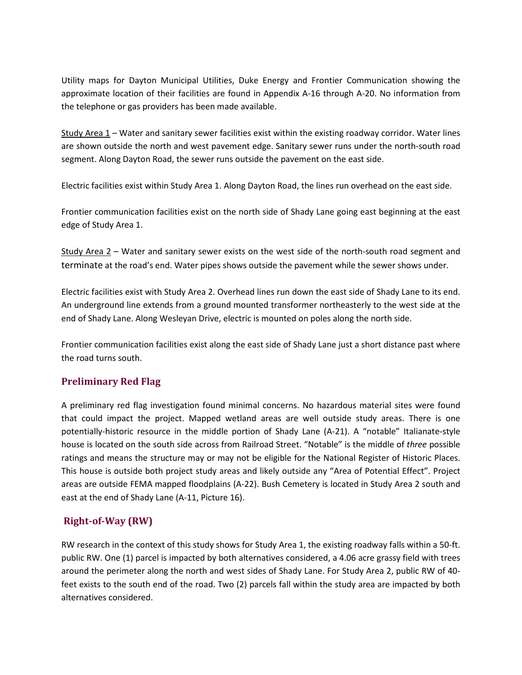Utility maps for Dayton Municipal Utilities, Duke Energy and Frontier Communication showing the approximate location of their facilities are found in Appendix A-16 through A-20. No information from the telephone or gas providers has been made available.

Study Area 1 – Water and sanitary sewer facilities exist within the existing roadway corridor. Water lines are shown outside the north and west pavement edge. Sanitary sewer runs under the north-south road segment. Along Dayton Road, the sewer runs outside the pavement on the east side.

Electric facilities exist within Study Area 1. Along Dayton Road, the lines run overhead on the east side.

Frontier communication facilities exist on the north side of Shady Lane going east beginning at the east edge of Study Area 1.

Study Area  $2$  – Water and sanitary sewer exists on the west side of the north-south road segment and terminate at the road's end. Water pipes shows outside the pavement while the sewer shows under.

Electric facilities exist with Study Area 2. Overhead lines run down the east side of Shady Lane to its end. An underground line extends from a ground mounted transformer northeasterly to the west side at the end of Shady Lane. Along Wesleyan Drive, electric is mounted on poles along the north side.

Frontier communication facilities exist along the east side of Shady Lane just a short distance past where the road turns south.

## **Preliminary Red Flag**

A preliminary red flag investigation found minimal concerns. No hazardous material sites were found that could impact the project. Mapped wetland areas are well outside study areas. There is one potentially-historic resource in the middle portion of Shady Lane (A-21). A "notable" Italianate-style house is located on the south side across from Railroad Street. "Notable" is the middle of *three* possible ratings and means the structure may or may not be eligible for the National Register of Historic Places. This house is outside both project study areas and likely outside any "Area of Potential Effect". Project areas are outside FEMA mapped floodplains (A-22). Bush Cemetery is located in Study Area 2 south and east at the end of Shady Lane (A-11, Picture 16).

## **Right-of-Way (RW)**

RW research in the context of this study shows for Study Area 1, the existing roadway falls within a 50-ft. public RW. One (1) parcel is impacted by both alternatives considered, a 4.06 acre grassy field with trees around the perimeter along the north and west sides of Shady Lane. For Study Area 2, public RW of 40 feet exists to the south end of the road. Two (2) parcels fall within the study area are impacted by both alternatives considered.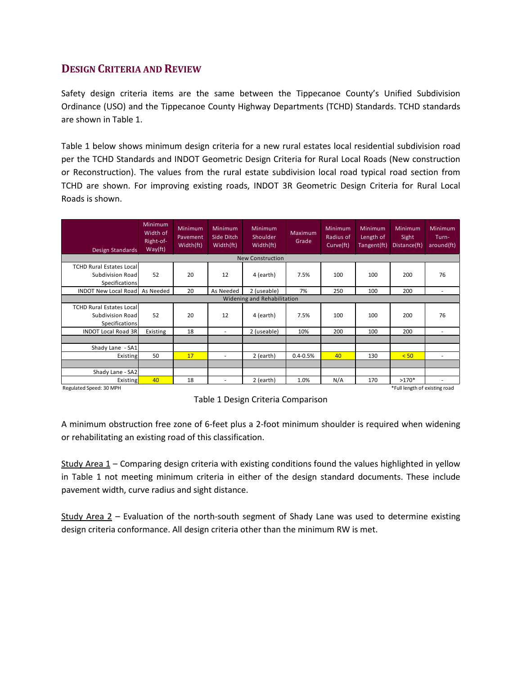## **DESIGN CRITERIA AND REVIEW**

Safety design criteria items are the same between the Tippecanoe County's Unified Subdivision Ordinance (USO) and the Tippecanoe County Highway Departments (TCHD) Standards. TCHD standards are shown in Table 1.

Table 1 below shows minimum design criteria for a new rural estates local residential subdivision road per the TCHD Standards and INDOT Geometric Design Criteria for Rural Local Roads (New construction or Reconstruction). The values from the rural estate subdivision local road typical road section from TCHD are shown. For improving existing roads, INDOT 3R Geometric Design Criteria for Rural Local Roads is shown.

| Design Standards                                                             | <b>Minimum</b><br>Width of<br>Right-of-<br>Way(ft) | <b>Minimum</b><br>Pavement<br>Width(ft) | <b>Minimum</b><br>Side Ditch<br>Width(ft) | <b>Minimum</b><br>Shoulder<br>Width(ft) | Maximum<br>Grade | Minimum<br>Radius of<br>Curve(ft) | Minimum<br>Length of<br>Tangent(ft) | Minimum<br>Sight<br>Distance(ft) | Minimum<br>Turn-<br>around(ft) |
|------------------------------------------------------------------------------|----------------------------------------------------|-----------------------------------------|-------------------------------------------|-----------------------------------------|------------------|-----------------------------------|-------------------------------------|----------------------------------|--------------------------------|
|                                                                              |                                                    |                                         |                                           | <b>New Construction</b>                 |                  |                                   |                                     |                                  |                                |
| <b>TCHD Rural Estates Local</b><br>Subdivision Road<br><b>Specifications</b> | 52                                                 | 20                                      | 12                                        | 4 (earth)                               | 7.5%             | 100                               | 100                                 | 200                              | 76                             |
| INDOT New Local Road As Needed                                               |                                                    | 20                                      | As Needed                                 | 2 (useable)                             | 7%               | 250                               | 100                                 | 200                              | ٠                              |
| Widening and Rehabilitation                                                  |                                                    |                                         |                                           |                                         |                  |                                   |                                     |                                  |                                |
| <b>TCHD Rural Estates Local</b><br>Subdivision Road<br><b>Specifications</b> | 52                                                 | 20                                      | 12                                        | 4 (earth)                               | 7.5%             | 100                               | 100                                 | 200                              | 76                             |
| <b>INDOT Local Road 3R</b>                                                   | Existing                                           | 18                                      | ٠                                         | 2 (useable)                             | 10%              | 200                               | 100                                 | 200                              | $\overline{\phantom{a}}$       |
|                                                                              |                                                    |                                         |                                           |                                         |                  |                                   |                                     |                                  |                                |
| Shady Lane - SA1                                                             |                                                    |                                         |                                           |                                         |                  |                                   |                                     |                                  |                                |
| Existing                                                                     | 50                                                 | 17                                      | ٠                                         | 2 (earth)                               | $0.4 - 0.5%$     | 40                                | 130                                 | < 50                             | ٠                              |
|                                                                              |                                                    |                                         |                                           |                                         |                  |                                   |                                     |                                  |                                |
| Shady Lane - SA2                                                             |                                                    |                                         |                                           |                                         |                  |                                   |                                     |                                  |                                |
| Existing                                                                     | 40                                                 | 18                                      | ٠                                         | 2 (earth)                               | 1.0%             | N/A                               | 170                                 | $>170*$                          | ٠                              |
| Regulated Speed: 30 MPH                                                      |                                                    |                                         |                                           |                                         |                  |                                   |                                     | *Full length of existing road    |                                |

Table 1 Design Criteria Comparison

A minimum obstruction free zone of 6-feet plus a 2-foot minimum shoulder is required when widening or rehabilitating an existing road of this classification.

Study Area 1 – Comparing design criteria with existing conditions found the values highlighted in yellow in Table 1 not meeting minimum criteria in either of the design standard documents. These include pavement width, curve radius and sight distance.

Study Area 2 – Evaluation of the north-south segment of Shady Lane was used to determine existing design criteria conformance. All design criteria other than the minimum RW is met.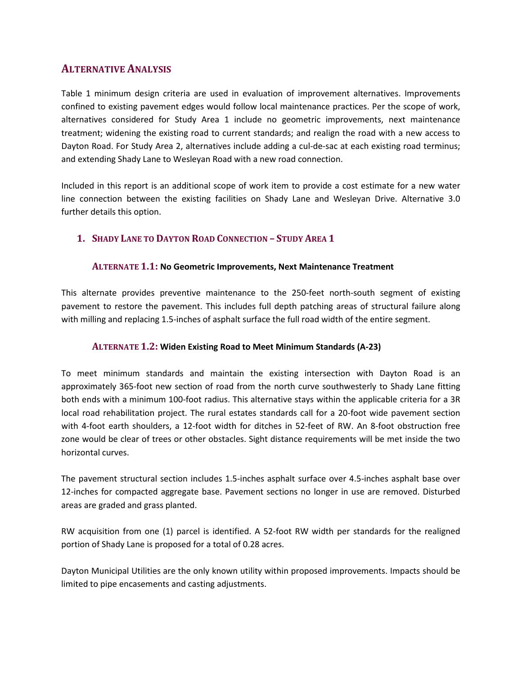## **ALTERNATIVE ANALYSIS**

Table 1 minimum design criteria are used in evaluation of improvement alternatives. Improvements confined to existing pavement edges would follow local maintenance practices. Per the scope of work, alternatives considered for Study Area 1 include no geometric improvements, next maintenance treatment; widening the existing road to current standards; and realign the road with a new access to Dayton Road. For Study Area 2, alternatives include adding a cul-de-sac at each existing road terminus; and extending Shady Lane to Wesleyan Road with a new road connection.

Included in this report is an additional scope of work item to provide a cost estimate for a new water line connection between the existing facilities on Shady Lane and Wesleyan Drive. Alternative 3.0 further details this option.

#### **1. SHADY LANE TO DAYTON ROAD CONNECTION – STUDY AREA 1**

#### **ALTERNATE 1.1: No Geometric Improvements, Next Maintenance Treatment**

This alternate provides preventive maintenance to the 250-feet north-south segment of existing pavement to restore the pavement. This includes full depth patching areas of structural failure along with milling and replacing 1.5-inches of asphalt surface the full road width of the entire segment.

#### **ALTERNATE 1.2: Widen Existing Road to Meet Minimum Standards (A-23)**

To meet minimum standards and maintain the existing intersection with Dayton Road is an approximately 365-foot new section of road from the north curve southwesterly to Shady Lane fitting both ends with a minimum 100-foot radius. This alternative stays within the applicable criteria for a 3R local road rehabilitation project. The rural estates standards call for a 20-foot wide pavement section with 4-foot earth shoulders, a 12-foot width for ditches in 52-feet of RW. An 8-foot obstruction free zone would be clear of trees or other obstacles. Sight distance requirements will be met inside the two horizontal curves.

The pavement structural section includes 1.5-inches asphalt surface over 4.5-inches asphalt base over 12-inches for compacted aggregate base. Pavement sections no longer in use are removed. Disturbed areas are graded and grass planted.

RW acquisition from one (1) parcel is identified. A 52-foot RW width per standards for the realigned portion of Shady Lane is proposed for a total of 0.28 acres.

Dayton Municipal Utilities are the only known utility within proposed improvements. Impacts should be limited to pipe encasements and casting adjustments.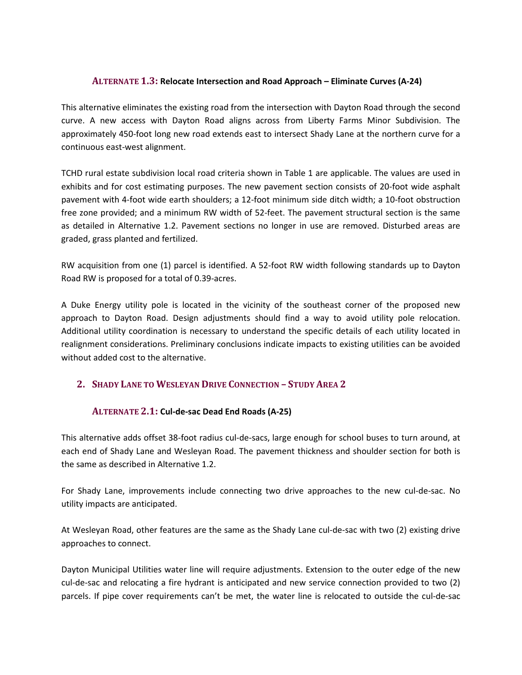#### **ALTERNATE 1.3: Relocate Intersection and Road Approach – Eliminate Curves (A-24)**

This alternative eliminates the existing road from the intersection with Dayton Road through the second curve. A new access with Dayton Road aligns across from Liberty Farms Minor Subdivision. The approximately 450-foot long new road extends east to intersect Shady Lane at the northern curve for a continuous east-west alignment.

TCHD rural estate subdivision local road criteria shown in Table 1 are applicable. The values are used in exhibits and for cost estimating purposes. The new pavement section consists of 20-foot wide asphalt pavement with 4-foot wide earth shoulders; a 12-foot minimum side ditch width; a 10-foot obstruction free zone provided; and a minimum RW width of 52-feet. The pavement structural section is the same as detailed in Alternative 1.2. Pavement sections no longer in use are removed. Disturbed areas are graded, grass planted and fertilized.

RW acquisition from one (1) parcel is identified. A 52-foot RW width following standards up to Dayton Road RW is proposed for a total of 0.39-acres.

A Duke Energy utility pole is located in the vicinity of the southeast corner of the proposed new approach to Dayton Road. Design adjustments should find a way to avoid utility pole relocation. Additional utility coordination is necessary to understand the specific details of each utility located in realignment considerations. Preliminary conclusions indicate impacts to existing utilities can be avoided without added cost to the alternative.

## **2. SHADY LANE TO WESLEYAN DRIVE CONNECTION – STUDY AREA 2**

#### **ALTERNATE 2.1: Cul-de-sac Dead End Roads (A-25)**

This alternative adds offset 38-foot radius cul-de-sacs, large enough for school buses to turn around, at each end of Shady Lane and Wesleyan Road. The pavement thickness and shoulder section for both is the same as described in Alternative 1.2.

For Shady Lane, improvements include connecting two drive approaches to the new cul-de-sac. No utility impacts are anticipated.

At Wesleyan Road, other features are the same as the Shady Lane cul-de-sac with two (2) existing drive approaches to connect.

Dayton Municipal Utilities water line will require adjustments. Extension to the outer edge of the new cul-de-sac and relocating a fire hydrant is anticipated and new service connection provided to two (2) parcels. If pipe cover requirements can't be met, the water line is relocated to outside the cul-de-sac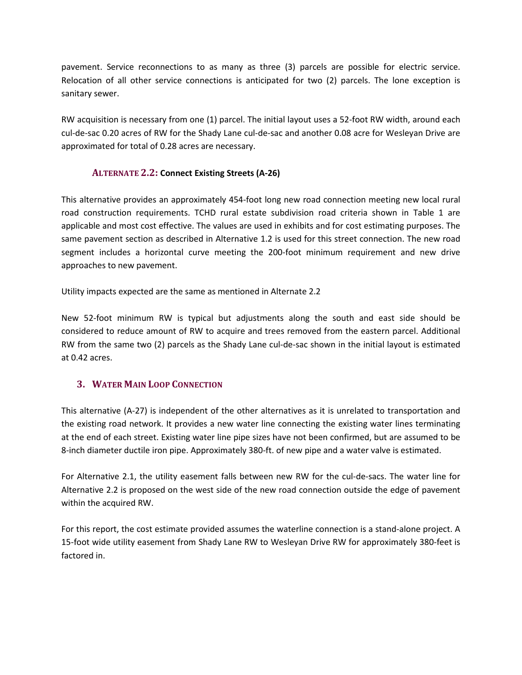pavement. Service reconnections to as many as three (3) parcels are possible for electric service. Relocation of all other service connections is anticipated for two (2) parcels. The lone exception is sanitary sewer.

RW acquisition is necessary from one (1) parcel. The initial layout uses a 52-foot RW width, around each cul-de-sac 0.20 acres of RW for the Shady Lane cul-de-sac and another 0.08 acre for Wesleyan Drive are approximated for total of 0.28 acres are necessary.

### **ALTERNATE 2.2: Connect Existing Streets (A-26)**

This alternative provides an approximately 454-foot long new road connection meeting new local rural road construction requirements. TCHD rural estate subdivision road criteria shown in Table 1 are applicable and most cost effective. The values are used in exhibits and for cost estimating purposes. The same pavement section as described in Alternative 1.2 is used for this street connection. The new road segment includes a horizontal curve meeting the 200-foot minimum requirement and new drive approaches to new pavement.

Utility impacts expected are the same as mentioned in Alternate 2.2

New 52-foot minimum RW is typical but adjustments along the south and east side should be considered to reduce amount of RW to acquire and trees removed from the eastern parcel. Additional RW from the same two (2) parcels as the Shady Lane cul-de-sac shown in the initial layout is estimated at 0.42 acres.

## **3. WATER MAIN LOOP CONNECTION**

This alternative (A-27) is independent of the other alternatives as it is unrelated to transportation and the existing road network. It provides a new water line connecting the existing water lines terminating at the end of each street. Existing water line pipe sizes have not been confirmed, but are assumed to be 8-inch diameter ductile iron pipe. Approximately 380-ft. of new pipe and a water valve is estimated.

For Alternative 2.1, the utility easement falls between new RW for the cul-de-sacs. The water line for Alternative 2.2 is proposed on the west side of the new road connection outside the edge of pavement within the acquired RW.

For this report, the cost estimate provided assumes the waterline connection is a stand-alone project. A 15-foot wide utility easement from Shady Lane RW to Wesleyan Drive RW for approximately 380-feet is factored in.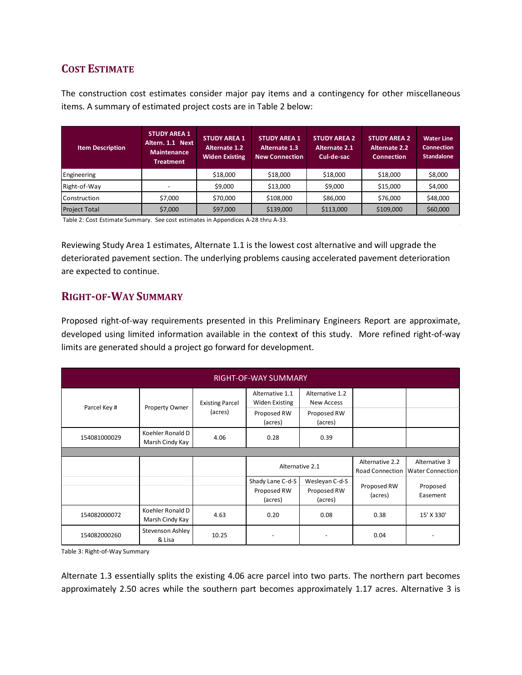## **COST ESTIMATE**

The construction cost estimates consider major pay items and a contingency for other miscellaneous items. A summary of estimated project costs are in Table 2 below:

| <b>Item Description</b> | <b>STUDY AREA 1</b><br>Altern. 1.1 Next<br>Maintenance<br><b>Treatment</b> | <b>STUDY AREA 1</b><br><b>Alternate 1.2</b><br><b>Widen Existing</b> | <b>STUDY AREA 1</b><br><b>Alternate 1.3</b><br><b>New Connection</b> | <b>STUDY AREA 2</b><br>Alternate 2.1<br>Cul-de-sac | <b>STUDY AREA 2</b><br><b>Alternate 2.2</b><br><b>Connection</b> | <b>Water Line</b><br><b>Connection</b><br><b>Standalone</b> |
|-------------------------|----------------------------------------------------------------------------|----------------------------------------------------------------------|----------------------------------------------------------------------|----------------------------------------------------|------------------------------------------------------------------|-------------------------------------------------------------|
| Engineering             |                                                                            | \$18,000                                                             | \$18,000                                                             | \$18,000                                           | \$18,000                                                         | \$8,000                                                     |
| Right-of-Way            |                                                                            | \$9,000                                                              | \$13,000                                                             | \$9,000                                            | \$15,000                                                         | \$4,000                                                     |
| Construction            | \$7,000                                                                    | \$70,000                                                             | \$108,000                                                            | \$86,000                                           | \$76,000                                                         | \$48,000                                                    |
| <b>Project Total</b>    | \$7,000                                                                    | \$97,000                                                             | \$139,000                                                            | \$113,000                                          | \$109,000                                                        | \$60,000                                                    |

Table 2: Cost Estimate Summary. See cost estimates in Appendices A-28 thru A-33.

Reviewing Study Area 1 estimates, Alternate 1.1 is the lowest cost alternative and will upgrade the deteriorated pavement section. The underlying problems causing accelerated pavement deterioration are expected to continue.

## **RIGHT-OF-WAY SUMMARY**

Proposed right-of-way requirements presented in this Preliminary Engineers Report are approximate, developed using limited information available in the context of this study. More refined right-of-way limits are generated should a project go forward for development.

| RIGHT-OF-WAY SUMMARY |                                     |                                   |                                          |                                      |                                           |                                          |  |
|----------------------|-------------------------------------|-----------------------------------|------------------------------------------|--------------------------------------|-------------------------------------------|------------------------------------------|--|
| Parcel Key #         | Property Owner                      | <b>Existing Parcel</b><br>(acres) | Alternative 1.1<br><b>Widen Existing</b> | Alternative 1.2<br><b>New Access</b> |                                           |                                          |  |
|                      |                                     |                                   | Proposed RW<br>(acres)                   | Proposed RW<br>(acres)               |                                           |                                          |  |
| 154081000029         | Koehler Ronald D<br>Marsh Cindy Kay | 4.06                              | 0.28                                     | 0.39                                 |                                           |                                          |  |
|                      |                                     |                                   |                                          |                                      |                                           |                                          |  |
|                      |                                     |                                   |                                          |                                      |                                           |                                          |  |
|                      |                                     |                                   |                                          | Alternative 2.1                      | Alternative 2.2<br><b>Road Connection</b> | Alternative 3<br><b>Water Connection</b> |  |
|                      |                                     |                                   | Shady Lane C-d-S                         | Wesleyan C-d-S                       |                                           |                                          |  |
|                      |                                     |                                   | Proposed RW<br>(acres)                   | Proposed RW<br>(acres)               | Proposed RW<br>(acres)                    | Proposed<br>Easement                     |  |
| 154082000072         | Koehler Ronald D<br>Marsh Cindy Kay | 4.63                              | 0.20                                     | 0.08                                 | 0.38                                      | 15' X 330'                               |  |

Table 3: Right-of-Way Summary

Alternate 1.3 essentially splits the existing 4.06 acre parcel into two parts. The northern part becomes approximately 2.50 acres while the southern part becomes approximately 1.17 acres. Alternative 3 is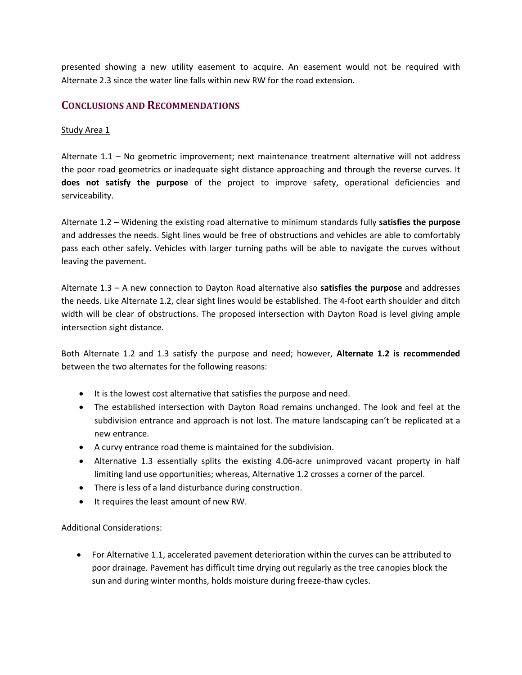presented showing a new utility easement to acquire. An easement would not be required with Alternate 2.3 since the water line falls within new RW for the road extension.

### **CONCLUSIONS AND RECOMMENDATIONS**

#### Study Area 1

Alternate 1.1 – No geometric improvement; next maintenance treatment alternative will not address the poor road geometrics or inadequate sight distance approaching and through the reverse curves. It **does not satisfy the purpose** of the project to improve safety, operational deficiencies and serviceability.

Alternate 1.2 – Widening the existing road alternative to minimum standards fully **satisfies the purpose** and addresses the needs. Sight lines would be free of obstructions and vehicles are able to comfortably pass each other safely. Vehicles with larger turning paths will be able to navigate the curves without leaving the pavement.

Alternate 1.3 – A new connection to Dayton Road alternative also **satisfies the purpose** and addresses the needs. Like Alternate 1.2, clear sight lines would be established. The 4-foot earth shoulder and ditch width will be clear of obstructions. The proposed intersection with Dayton Road is level giving ample intersection sight distance.

Both Alternate 1.2 and 1.3 satisfy the purpose and need; however, **Alternate 1.2 is recommended** between the two alternates for the following reasons:

- It is the lowest cost alternative that satisfies the purpose and need.
- The established intersection with Dayton Road remains unchanged. The look and feel at the subdivision entrance and approach is not lost. The mature landscaping can't be replicated at a new entrance.
- A curvy entrance road theme is maintained for the subdivision.
- Alternative 1.3 essentially splits the existing 4.06-acre unimproved vacant property in half limiting land use opportunities; whereas, Alternative 1.2 crosses a corner of the parcel.
- There is less of a land disturbance during construction.
- It requires the least amount of new RW.

Additional Considerations:

• For Alternative 1.1, accelerated pavement deterioration within the curves can be attributed to poor drainage. Pavement has difficult time drying out regularly as the tree canopies block the sun and during winter months, holds moisture during freeze-thaw cycles.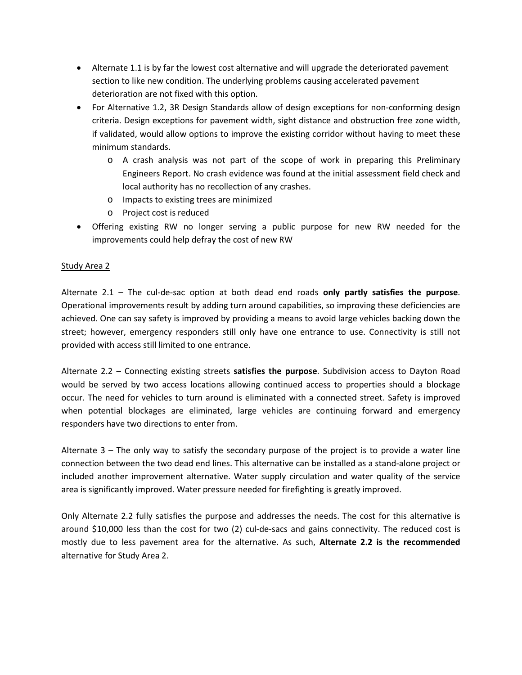- Alternate 1.1 is by far the lowest cost alternative and will upgrade the deteriorated pavement section to like new condition. The underlying problems causing accelerated pavement deterioration are not fixed with this option.
- For Alternative 1.2, 3R Design Standards allow of design exceptions for non-conforming design criteria. Design exceptions for pavement width, sight distance and obstruction free zone width, if validated, would allow options to improve the existing corridor without having to meet these minimum standards.
	- o A crash analysis was not part of the scope of work in preparing this Preliminary Engineers Report. No crash evidence was found at the initial assessment field check and local authority has no recollection of any crashes.
	- o Impacts to existing trees are minimized
	- o Project cost is reduced
- Offering existing RW no longer serving a public purpose for new RW needed for the improvements could help defray the cost of new RW

#### Study Area 2

Alternate 2.1 – The cul-de-sac option at both dead end roads **only partly satisfies the purpose**. Operational improvements result by adding turn around capabilities, so improving these deficiencies are achieved. One can say safety is improved by providing a means to avoid large vehicles backing down the street; however, emergency responders still only have one entrance to use. Connectivity is still not provided with access still limited to one entrance.

Alternate 2.2 – Connecting existing streets **satisfies the purpose**. Subdivision access to Dayton Road would be served by two access locations allowing continued access to properties should a blockage occur. The need for vehicles to turn around is eliminated with a connected street. Safety is improved when potential blockages are eliminated, large vehicles are continuing forward and emergency responders have two directions to enter from.

Alternate 3 – The only way to satisfy the secondary purpose of the project is to provide a water line connection between the two dead end lines. This alternative can be installed as a stand-alone project or included another improvement alternative. Water supply circulation and water quality of the service area is significantly improved. Water pressure needed for firefighting is greatly improved.

Only Alternate 2.2 fully satisfies the purpose and addresses the needs. The cost for this alternative is around \$10,000 less than the cost for two (2) cul-de-sacs and gains connectivity. The reduced cost is mostly due to less pavement area for the alternative. As such, **Alternate 2.2 is the recommended** alternative for Study Area 2.